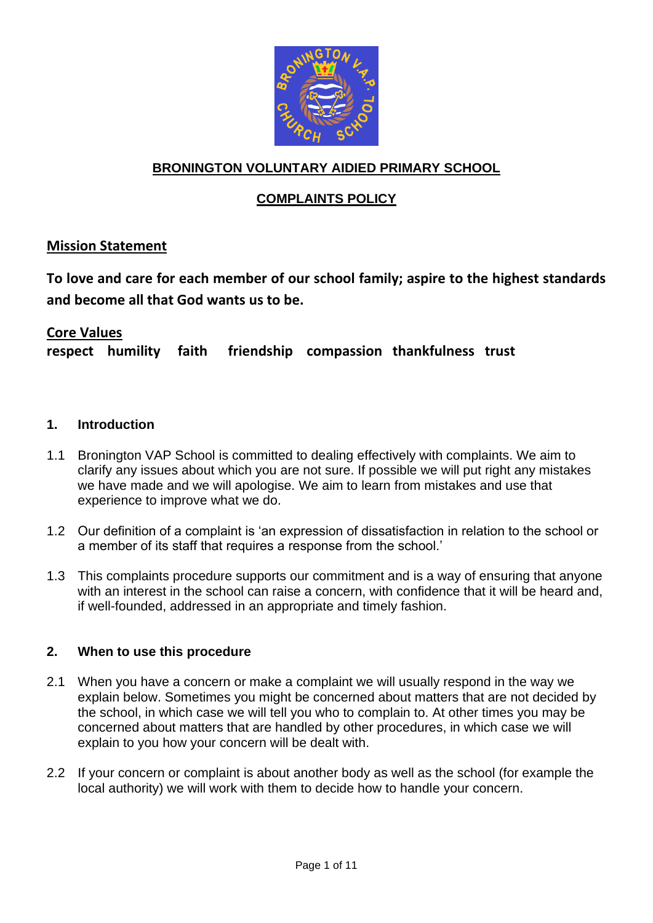

# **BRONINGTON VOLUNTARY AIDIED PRIMARY SCHOOL**

# **COMPLAINTS POLICY**

## **Mission Statement**

**To love and care for each member of our school family; aspire to the highest standards and become all that God wants us to be.**

### **Core Values**

**respect humility faith friendship compassion thankfulness trust**

#### **1. Introduction**

- 1.1 Bronington VAP School is committed to dealing effectively with complaints. We aim to clarify any issues about which you are not sure. If possible we will put right any mistakes we have made and we will apologise. We aim to learn from mistakes and use that experience to improve what we do.
- 1.2 Our definition of a complaint is 'an expression of dissatisfaction in relation to the school or a member of its staff that requires a response from the school.'
- 1.3 This complaints procedure supports our commitment and is a way of ensuring that anyone with an interest in the school can raise a concern, with confidence that it will be heard and, if well-founded, addressed in an appropriate and timely fashion.

#### **2. When to use this procedure**

- 2.1 When you have a concern or make a complaint we will usually respond in the way we explain below. Sometimes you might be concerned about matters that are not decided by the school, in which case we will tell you who to complain to. At other times you may be concerned about matters that are handled by other procedures, in which case we will explain to you how your concern will be dealt with.
- 2.2 If your concern or complaint is about another body as well as the school (for example the local authority) we will work with them to decide how to handle your concern.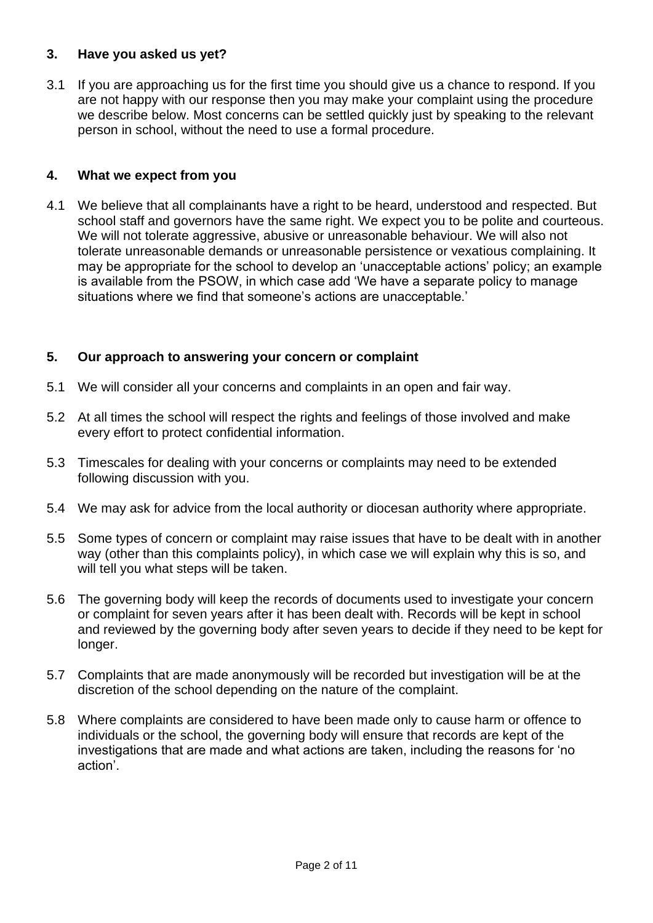### **3. Have you asked us yet?**

3.1 If you are approaching us for the first time you should give us a chance to respond. If you are not happy with our response then you may make your complaint using the procedure we describe below. Most concerns can be settled quickly just by speaking to the relevant person in school, without the need to use a formal procedure.

### **4. What we expect from you**

4.1 We believe that all complainants have a right to be heard, understood and respected. But school staff and governors have the same right. We expect you to be polite and courteous. We will not tolerate aggressive, abusive or unreasonable behaviour. We will also not tolerate unreasonable demands or unreasonable persistence or vexatious complaining. It may be appropriate for the school to develop an 'unacceptable actions' policy; an example is available from the PSOW, in which case add 'We have a separate policy to manage situations where we find that someone's actions are unacceptable.'

## **5. Our approach to answering your concern or complaint**

- 5.1 We will consider all your concerns and complaints in an open and fair way.
- 5.2 At all times the school will respect the rights and feelings of those involved and make every effort to protect confidential information.
- 5.3 Timescales for dealing with your concerns or complaints may need to be extended following discussion with you.
- 5.4 We may ask for advice from the local authority or diocesan authority where appropriate.
- 5.5 Some types of concern or complaint may raise issues that have to be dealt with in another way (other than this complaints policy), in which case we will explain why this is so, and will tell you what steps will be taken.
- 5.6 The governing body will keep the records of documents used to investigate your concern or complaint for seven years after it has been dealt with. Records will be kept in school and reviewed by the governing body after seven years to decide if they need to be kept for longer.
- 5.7 Complaints that are made anonymously will be recorded but investigation will be at the discretion of the school depending on the nature of the complaint.
- 5.8 Where complaints are considered to have been made only to cause harm or offence to individuals or the school, the governing body will ensure that records are kept of the investigations that are made and what actions are taken, including the reasons for 'no action'.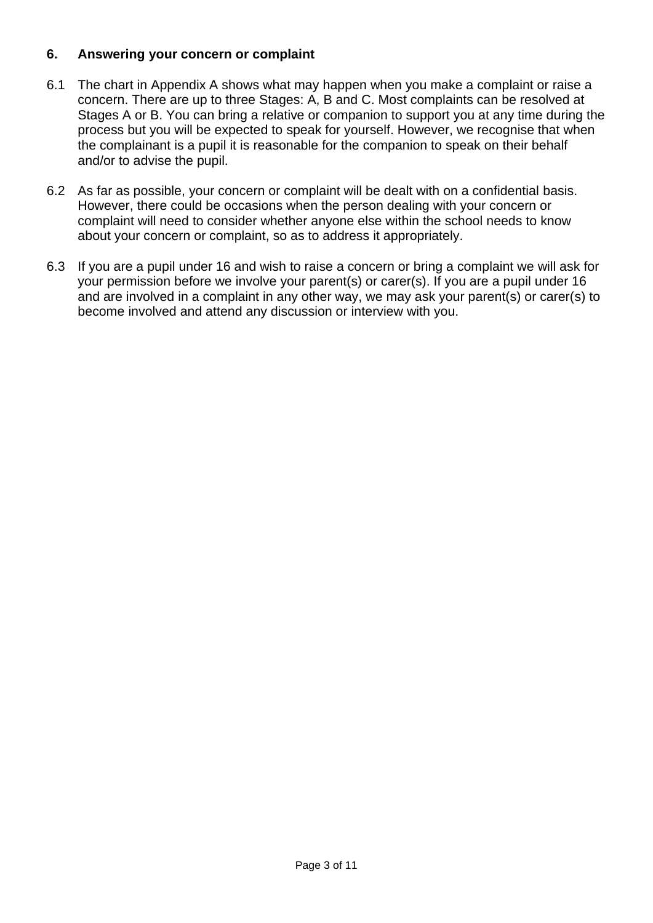## **6. Answering your concern or complaint**

- 6.1 The chart in Appendix A shows what may happen when you make a complaint or raise a concern. There are up to three Stages: A, B and C. Most complaints can be resolved at Stages A or B. You can bring a relative or companion to support you at any time during the process but you will be expected to speak for yourself. However, we recognise that when the complainant is a pupil it is reasonable for the companion to speak on their behalf and/or to advise the pupil.
- 6.2 As far as possible, your concern or complaint will be dealt with on a confidential basis. However, there could be occasions when the person dealing with your concern or complaint will need to consider whether anyone else within the school needs to know about your concern or complaint, so as to address it appropriately.
- 6.3 If you are a pupil under 16 and wish to raise a concern or bring a complaint we will ask for your permission before we involve your parent(s) or carer(s). If you are a pupil under 16 and are involved in a complaint in any other way, we may ask your parent(s) or carer(s) to become involved and attend any discussion or interview with you.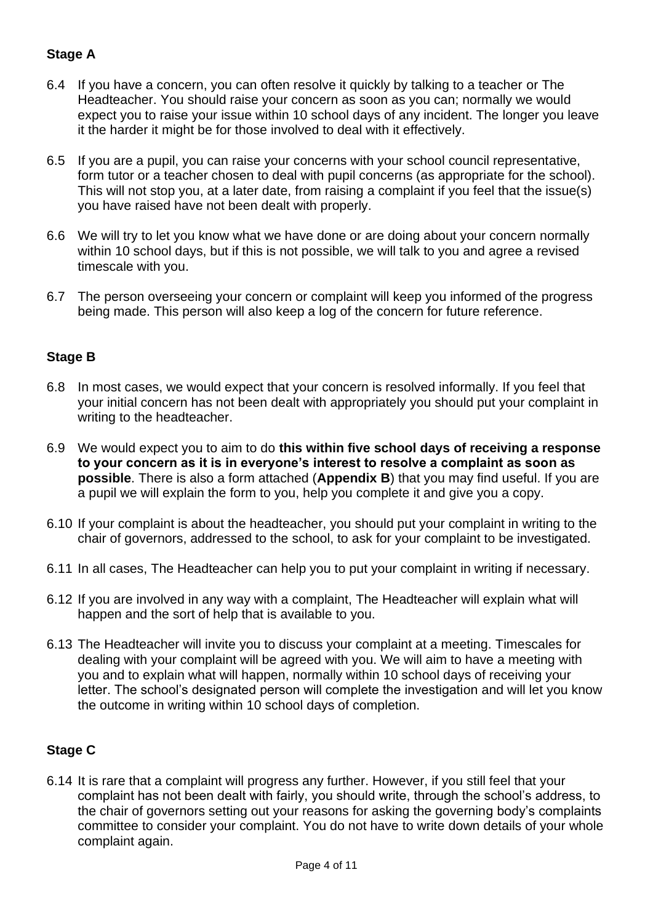# **Stage A**

- 6.4 If you have a concern, you can often resolve it quickly by talking to a teacher or The Headteacher. You should raise your concern as soon as you can; normally we would expect you to raise your issue within 10 school days of any incident. The longer you leave it the harder it might be for those involved to deal with it effectively.
- 6.5 If you are a pupil, you can raise your concerns with your school council representative, form tutor or a teacher chosen to deal with pupil concerns (as appropriate for the school). This will not stop you, at a later date, from raising a complaint if you feel that the issue(s) you have raised have not been dealt with properly.
- 6.6 We will try to let you know what we have done or are doing about your concern normally within 10 school days, but if this is not possible, we will talk to you and agree a revised timescale with you.
- 6.7 The person overseeing your concern or complaint will keep you informed of the progress being made. This person will also keep a log of the concern for future reference.

# **Stage B**

- 6.8 In most cases, we would expect that your concern is resolved informally. If you feel that your initial concern has not been dealt with appropriately you should put your complaint in writing to the headteacher.
- 6.9 We would expect you to aim to do **this within five school days of receiving a response to your concern as it is in everyone's interest to resolve a complaint as soon as possible**. There is also a form attached (**Appendix B**) that you may find useful. If you are a pupil we will explain the form to you, help you complete it and give you a copy.
- 6.10 If your complaint is about the headteacher, you should put your complaint in writing to the chair of governors, addressed to the school, to ask for your complaint to be investigated.
- 6.11 In all cases, The Headteacher can help you to put your complaint in writing if necessary.
- 6.12 If you are involved in any way with a complaint, The Headteacher will explain what will happen and the sort of help that is available to you.
- 6.13 The Headteacher will invite you to discuss your complaint at a meeting. Timescales for dealing with your complaint will be agreed with you. We will aim to have a meeting with you and to explain what will happen, normally within 10 school days of receiving your letter. The school's designated person will complete the investigation and will let you know the outcome in writing within 10 school days of completion.

# **Stage C**

6.14 It is rare that a complaint will progress any further. However, if you still feel that your complaint has not been dealt with fairly, you should write, through the school's address, to the chair of governors setting out your reasons for asking the governing body's complaints committee to consider your complaint. You do not have to write down details of your whole complaint again.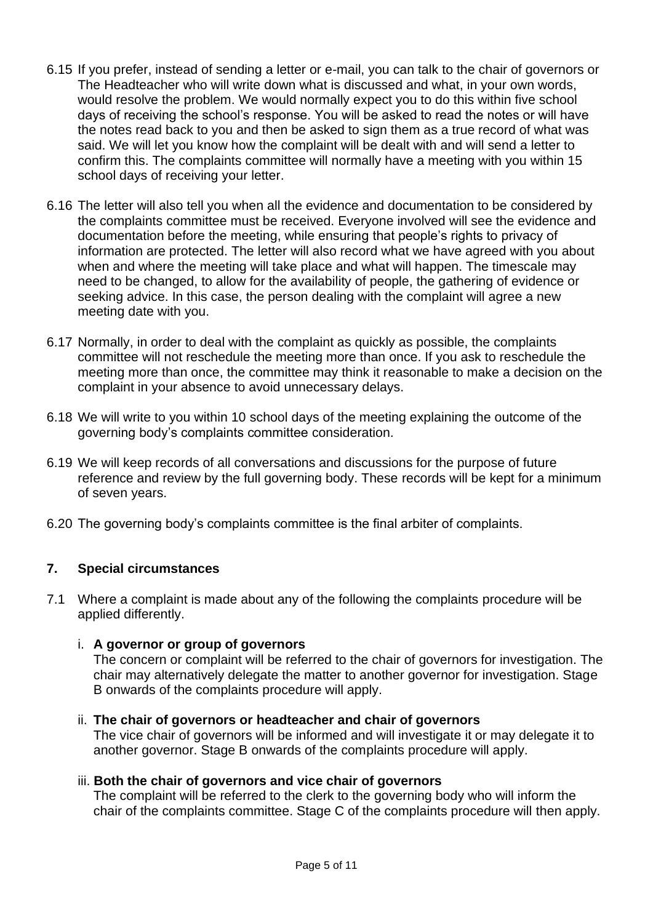- 6.15 If you prefer, instead of sending a letter or e-mail, you can talk to the chair of governors or The Headteacher who will write down what is discussed and what, in your own words, would resolve the problem. We would normally expect you to do this within five school days of receiving the school's response. You will be asked to read the notes or will have the notes read back to you and then be asked to sign them as a true record of what was said. We will let you know how the complaint will be dealt with and will send a letter to confirm this. The complaints committee will normally have a meeting with you within 15 school days of receiving your letter.
- 6.16 The letter will also tell you when all the evidence and documentation to be considered by the complaints committee must be received. Everyone involved will see the evidence and documentation before the meeting, while ensuring that people's rights to privacy of information are protected. The letter will also record what we have agreed with you about when and where the meeting will take place and what will happen. The timescale may need to be changed, to allow for the availability of people, the gathering of evidence or seeking advice. In this case, the person dealing with the complaint will agree a new meeting date with you.
- 6.17 Normally, in order to deal with the complaint as quickly as possible, the complaints committee will not reschedule the meeting more than once. If you ask to reschedule the meeting more than once, the committee may think it reasonable to make a decision on the complaint in your absence to avoid unnecessary delays.
- 6.18 We will write to you within 10 school days of the meeting explaining the outcome of the governing body's complaints committee consideration.
- 6.19 We will keep records of all conversations and discussions for the purpose of future reference and review by the full governing body. These records will be kept for a minimum of seven years.
- 6.20 The governing body's complaints committee is the final arbiter of complaints.

#### **7. Special circumstances**

7.1 Where a complaint is made about any of the following the complaints procedure will be applied differently.

#### i. **A governor or group of governors**

The concern or complaint will be referred to the chair of governors for investigation. The chair may alternatively delegate the matter to another governor for investigation. Stage B onwards of the complaints procedure will apply.

## ii. **The chair of governors or headteacher and chair of governors**

The vice chair of governors will be informed and will investigate it or may delegate it to another governor. Stage B onwards of the complaints procedure will apply.

#### iii. **Both the chair of governors and vice chair of governors**

The complaint will be referred to the clerk to the governing body who will inform the chair of the complaints committee. Stage C of the complaints procedure will then apply.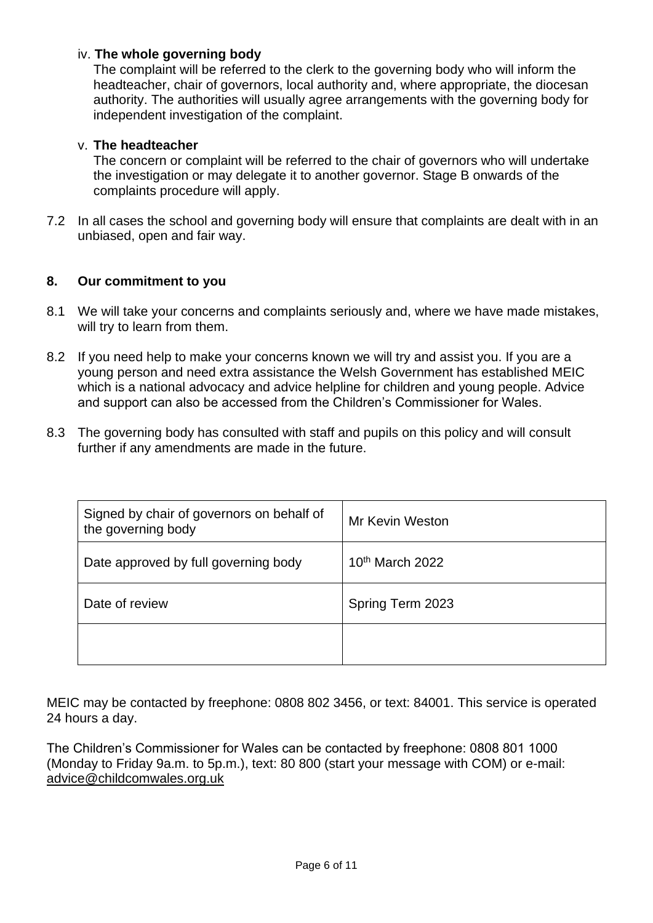#### iv. **The whole governing body**

The complaint will be referred to the clerk to the governing body who will inform the headteacher, chair of governors, local authority and, where appropriate, the diocesan authority. The authorities will usually agree arrangements with the governing body for independent investigation of the complaint.

#### v. **The headteacher**

The concern or complaint will be referred to the chair of governors who will undertake the investigation or may delegate it to another governor. Stage B onwards of the complaints procedure will apply.

7.2 In all cases the school and governing body will ensure that complaints are dealt with in an unbiased, open and fair way.

#### **8. Our commitment to you**

- 8.1 We will take your concerns and complaints seriously and, where we have made mistakes, will try to learn from them.
- 8.2 If you need help to make your concerns known we will try and assist you. If you are a young person and need extra assistance the Welsh Government has established MEIC which is a national advocacy and advice helpline for children and young people. Advice and support can also be accessed from the Children's Commissioner for Wales.
- 8.3 The governing body has consulted with staff and pupils on this policy and will consult further if any amendments are made in the future.

| Signed by chair of governors on behalf of<br>the governing body | <b>Mr Kevin Weston</b> |
|-----------------------------------------------------------------|------------------------|
| Date approved by full governing body                            | 10th March 2022        |
| Date of review                                                  | Spring Term 2023       |
|                                                                 |                        |

MEIC may be contacted by freephone: 0808 802 3456, or text: 84001. This service is operated 24 hours a day.

The Children's Commissioner for Wales can be contacted by freephone: 0808 801 1000 (Monday to Friday 9a.m. to 5p.m.), text: 80 800 (start your message with COM) or e-mail: [advice@childcomwales.org.uk](mailto:advice@childcomwales.org.uk)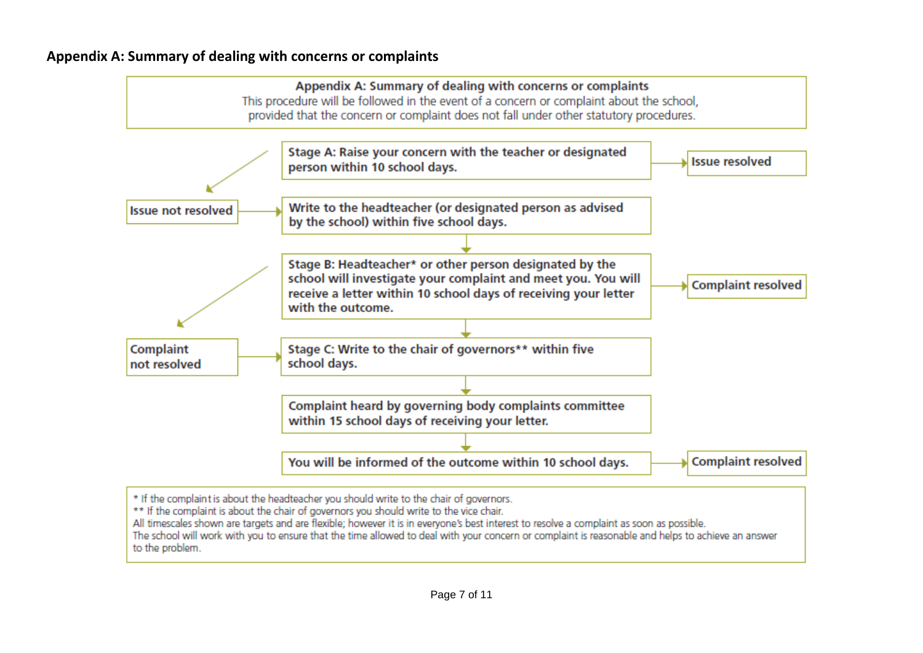## **Appendix A: Summary of dealing with concerns or complaints**



All timescales shown are targets and are flexible; however it is in everyone's best interest to resolve a complaint as soon as possible.

The school will work with you to ensure that the time allowed to deal with your concern or complaint is reasonable and helps to achieve an answer to the problem.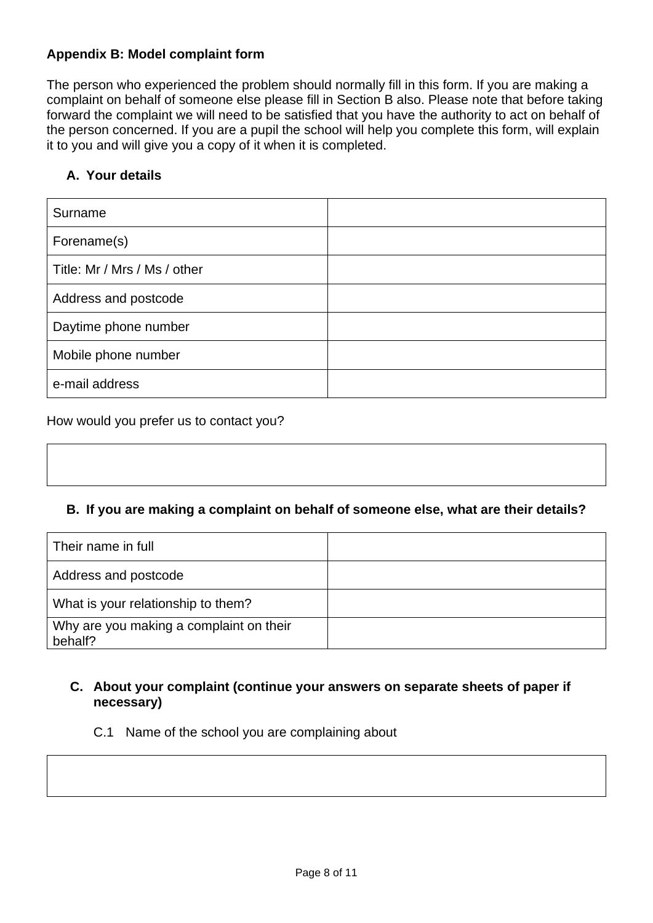## **Appendix B: Model complaint form**

The person who experienced the problem should normally fill in this form. If you are making a complaint on behalf of someone else please fill in Section B also. Please note that before taking forward the complaint we will need to be satisfied that you have the authority to act on behalf of the person concerned. If you are a pupil the school will help you complete this form, will explain it to you and will give you a copy of it when it is completed.

## **A. Your details**

| Surname                      |  |
|------------------------------|--|
| Forename(s)                  |  |
| Title: Mr / Mrs / Ms / other |  |
| Address and postcode         |  |
| Daytime phone number         |  |
| Mobile phone number          |  |
| e-mail address               |  |

How would you prefer us to contact you?

#### **B. If you are making a complaint on behalf of someone else, what are their details?**

| Their name in full                                 |  |
|----------------------------------------------------|--|
| Address and postcode                               |  |
| What is your relationship to them?                 |  |
| Why are you making a complaint on their<br>behalf? |  |

### **C. About your complaint (continue your answers on separate sheets of paper if necessary)**

C.1 Name of the school you are complaining about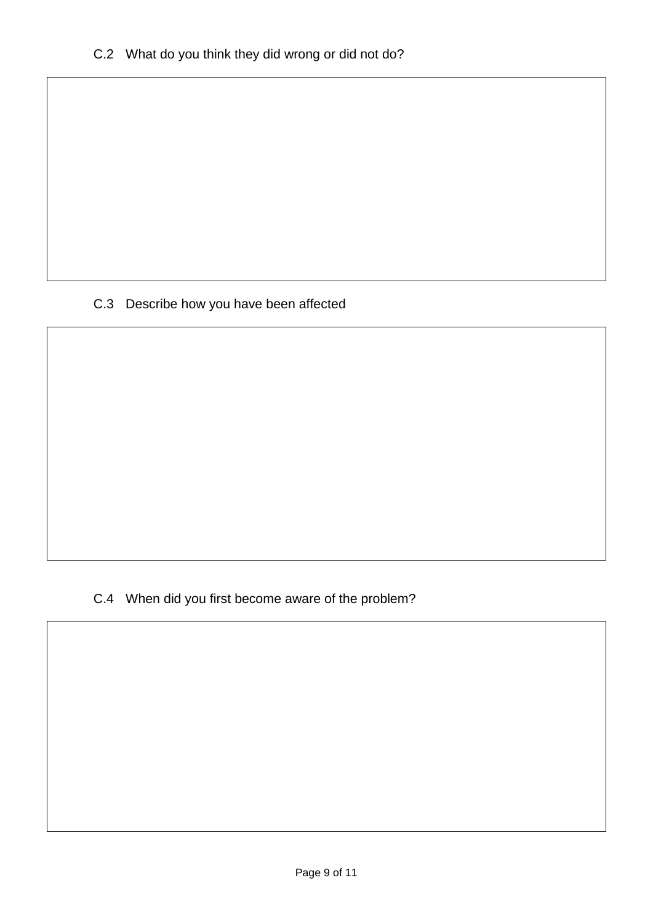# C.3 Describe how you have been affected

C.4 When did you first become aware of the problem?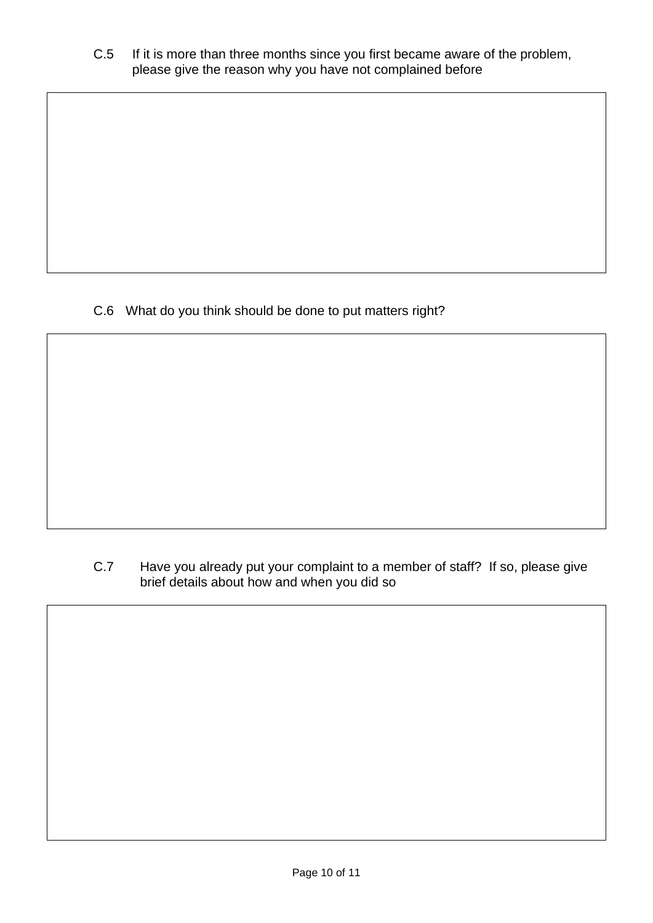C.5 If it is more than three months since you first became aware of the problem, please give the reason why you have not complained before

C.6 What do you think should be done to put matters right?

C.7 Have you already put your complaint to a member of staff? If so, please give brief details about how and when you did so